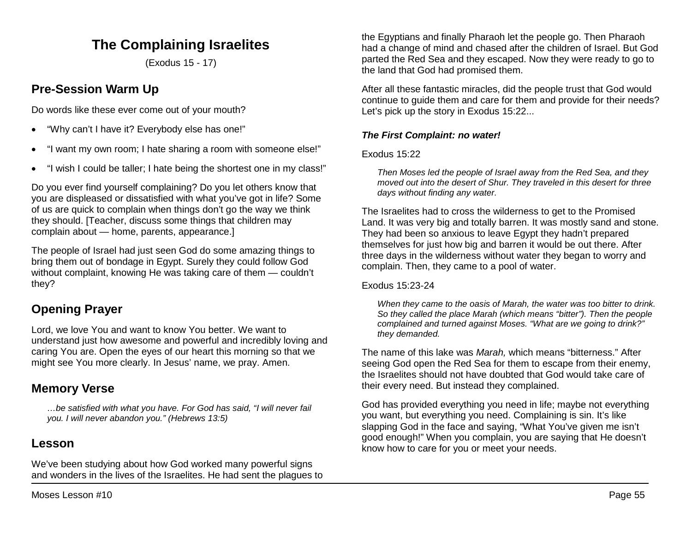# **The Complaining Israelites**

(Exodus 15 - 17)

# **Pre-Session Warm Up**

Do words like these ever come out of your mouth?

- "Why can't I have it? Everybody else has one!"
- "I want my own room; I hate sharing a room with someone else!"
- "I wish I could be taller; I hate being the shortest one in my class!"

Do you ever find yourself complaining? Do you let others know that you are displeased or dissatisfied with what you've got in life? Some of us are quick to complain when things don't go the way we think they should. [Teacher, discuss some things that children may complain about — home, parents, appearance.]

The people of Israel had just seen God do some amazing things to bring them out of bondage in Egypt. Surely they could follow God without complaint, knowing He was taking care of them — couldn't they?

# **Opening Prayer**

Lord, we love You and want to know You better. We want to understand just how awesome and powerful and incredibly loving and caring You are. Open the eyes of our heart this morning so that we might see You more clearly. In Jesus' name, we pray. Amen.

## **Memory Verse**

*…be satisfied with what you have. For God has said, "I will never fail you. I will never abandon you." (Hebrews 13:5)*

## **Lesson**

We've been studying about how God worked many powerful signs and wonders in the lives of the Israelites. He had sent the plagues to the Egyptians and finally Pharaoh let the people go. Then Pharaoh had a change of mind and chased after the children of Israel. But God parted the Red Sea and they escaped. Now they were ready to go to the land that God had promised them.

After all these fantastic miracles, did the people trust that God would continue to guide them and care for them and provide for their needs? Let's pick up the story in Exodus 15:22...

## *The First Complaint: no water!*

## Exodus 15:22

*Then Moses led the people of Israel away from the Red Sea, and they moved out into the desert of Shur. They traveled in this desert for three days without finding any water.*

The Israelites had to cross the wilderness to get to the Promised Land. It was very big and totally barren. It was mostly sand and stone. They had been so anxious to leave Egypt they hadn't prepared themselves for just how big and barren it would be out there. After three days in the wilderness without water they began to worry and complain. Then, they came to a pool of water.

## Exodus 15:23-24

*When they came to the oasis of Marah, the water was too bitter to drink. So they called the place Marah (which means "bitter"). Then the people complained and turned against Moses. "What are we going to drink?" they demanded.* 

The name of this lake was *Marah,* which means "bitterness." After seeing God open the Red Sea for them to escape from their enemy, the Israelites should not have doubted that God would take care of their every need. But instead they complained.

God has provided everything you need in life; maybe not everything you want, but everything you need. Complaining is sin. It's like slapping God in the face and saying, "What You've given me isn't good enough!" When you complain, you are saying that He doesn't know how to care for you or meet your needs.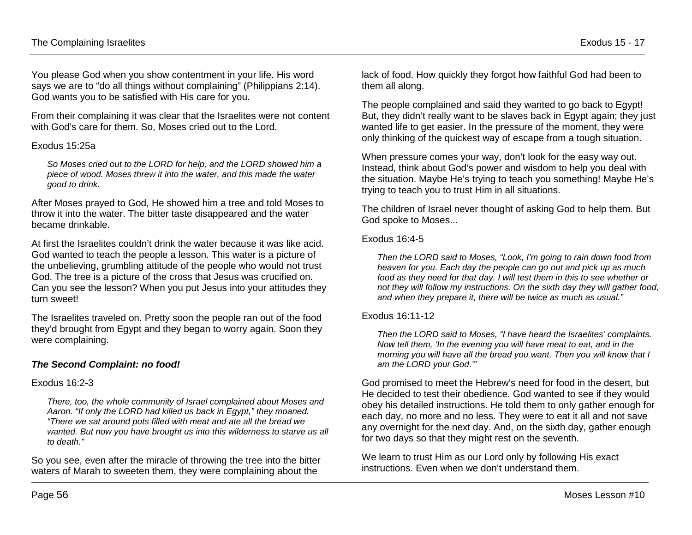You please God when you show contentment in your life. His word says we are to "do all things without complaining" (Philippians 2:14). God wants you to be satisfied with His care for you.

From their complaining it was clear that the Israelites were not content with God's care for them. So, Moses cried out to the Lord.

#### Exodus 15:25a

*So Moses cried out to the LORD for help, and the LORD showed him a piece of wood. Moses threw it into the water, and this made the water good to drink.*

After Moses prayed to God, He showed him a tree and told Moses to throw it into the water. The bitter taste disappeared and the water became drinkable.

At first the Israelites couldn't drink the water because it was like acid. God wanted to teach the people a lesson. This water is a picture of the unbelieving, grumbling attitude of the people who would not trust God. The tree is a picture of the cross that Jesus was crucified on. Can you see the lesson? When you put Jesus into your attitudes they turn sweet!

The Israelites traveled on. Pretty soon the people ran out of the food they'd brought from Egypt and they began to worry again. Soon they were complaining.

## *The Second Complaint: no food!*

#### Exodus 16:2-3

*There, too, the whole community of Israel complained about Moses and Aaron. "If only the LORD had killed us back in Egypt," they moaned. "There we sat around pots filled with meat and ate all the bread we wanted. But now you have brought us into this wilderness to starve us all to death."* 

So you see, even after the miracle of throwing the tree into the bitter waters of Marah to sweeten them, they were complaining about the

lack of food. How quickly they forgot how faithful God had been to them all along.

The people complained and said they wanted to go back to Egypt! But, they didn't really want to be slaves back in Egypt again; they just wanted life to get easier. In the pressure of the moment, they were only thinking of the quickest way of escape from a tough situation.

When pressure comes your way, don't look for the easy way out. Instead, think about God's power and wisdom to help you deal with the situation. Maybe He's trying to teach you something! Maybe He's trying to teach you to trust Him in all situations.

The children of Israel never thought of asking God to help them. But God spoke to Moses...

#### Exodus 16:4-5

*Then the LORD said to Moses, "Look, I'm going to rain down food from heaven for you. Each day the people can go out and pick up as much food as they need for that day. I will test them in this to see whether or not they will follow my instructions. On the sixth day they will gather food, and when they prepare it, there will be twice as much as usual."* 

#### Exodus 16:11-12

*Then the LORD said to Moses, "I have heard the Israelites' complaints. Now tell them, 'In the evening you will have meat to eat, and in the morning you will have all the bread you want. Then you will know that I am the LORD your God.'"*

God promised to meet the Hebrew's need for food in the desert, but He decided to test their obedience. God wanted to see if they would obey his detailed instructions. He told them to only gather enough for each day, no more and no less. They were to eat it all and not save any overnight for the next day. And, on the sixth day, gather enough for two days so that they might rest on the seventh.

We learn to trust Him as our Lord only by following His exact instructions. Even when we don't understand them.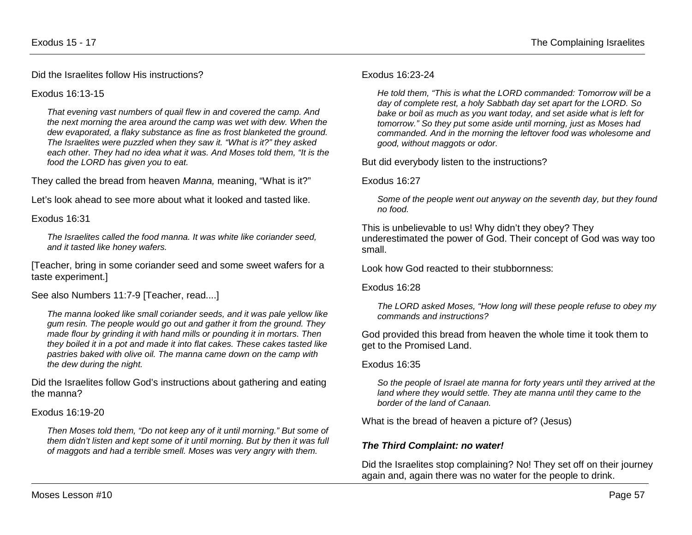Did the Israelites follow His instructions?

Exodus 16:13-15

*That evening vast numbers of quail flew in and covered the camp. And the next morning the area around the camp was wet with dew. When the dew evaporated, a flaky substance as fine as frost blanketed the ground. The Israelites were puzzled when they saw it. "What is it?" they asked each other. They had no idea what it was. And Moses told them, "It is the food the LORD has given you to eat.* 

They called the bread from heaven *Manna,* meaning, "What is it?"

Let's look ahead to see more about what it looked and tasted like.

#### Exodus 16:31

*The Israelites called the food manna. It was white like coriander seed, and it tasted like honey wafers.*

[Teacher, bring in some coriander seed and some sweet wafers for a taste experiment.]

See also Numbers 11:7-9 [Teacher, read....]

*The manna looked like small coriander seeds, and it was pale yellow like gum resin. The people would go out and gather it from the ground. They made flour by grinding it with hand mills or pounding it in mortars. Then they boiled it in a pot and made it into flat cakes. These cakes tasted like pastries baked with olive oil. The manna came down on the camp with the dew during the night.* 

Did the Israelites follow God's instructions about gathering and eating the manna?

#### Exodus 16:19-20

*Then Moses told them, "Do not keep any of it until morning." But some of them didn't listen and kept some of it until morning. But by then it was full of maggots and had a terrible smell. Moses was very angry with them.*

### Exodus 16:23-24

*He told them, "This is what the LORD commanded: Tomorrow will be a day of complete rest, a holy Sabbath day set apart for the LORD. So bake or boil as much as you want today, and set aside what is left for tomorrow." So they put some aside until morning, just as Moses had commanded. And in the morning the leftover food was wholesome and good, without maggots or odor.* 

But did everybody listen to the instructions?

### Exodus 16:27

*Some of the people went out anyway on the seventh day, but they found no food.*

This is unbelievable to us! Why didn't they obey? They underestimated the power of God. Their concept of God was way too small.

Look how God reacted to their stubbornness:

Exodus 16:28

*The LORD asked Moses, "How long will these people refuse to obey my commands and instructions?*

God provided this bread from heaven the whole time it took them to get to the Promised Land.

#### Exodus 16:35

*So the people of Israel ate manna for forty years until they arrived at the land where they would settle. They ate manna until they came to the border of the land of Canaan.*

What is the bread of heaven a picture of? (Jesus)

## *The Third Complaint: no water!*

Did the Israelites stop complaining? No! They set off on their journey again and, again there was no water for the people to drink.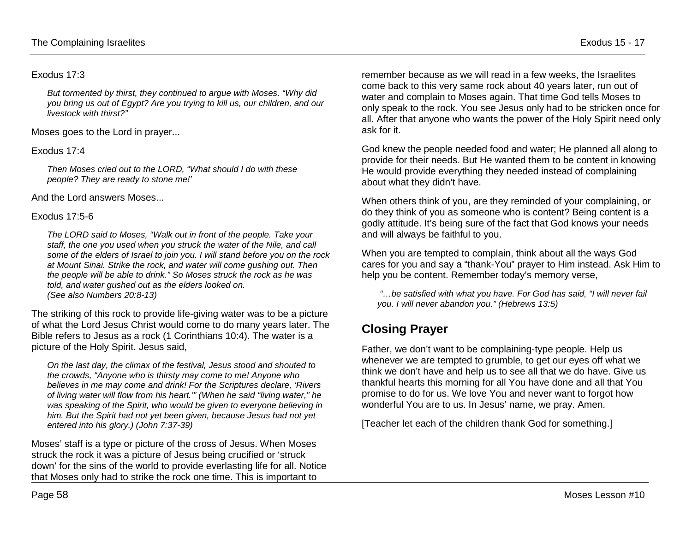#### Exodus 17:3

*But tormented by thirst, they continued to argue with Moses. "Why did you bring us out of Egypt? Are you trying to kill us, our children, and our livestock with thirst?"*

Moses goes to the Lord in prayer...

### Exodus 17:4

*Then Moses cried out to the LORD, "What should I do with these people? They are ready to stone me!'*

And the Lord answers Moses...

### Exodus 17:5-6

*The LORD said to Moses, "Walk out in front of the people. Take your staff, the one you used when you struck the water of the Nile, and call some of the elders of Israel to join you. I will stand before you on the rock at Mount Sinai. Strike the rock, and water will come gushing out. Then the people will be able to drink." So Moses struck the rock as he was told, and water gushed out as the elders looked on. (See also Numbers 20:8-13)*

The striking of this rock to provide life-giving water was to be a picture of what the Lord Jesus Christ would come to do many years later. The Bible refers to Jesus as a rock (1 Corinthians 10:4). The water is a picture of the Holy Spirit. Jesus said,

*On the last day, the climax of the festival, Jesus stood and shouted to the crowds, "Anyone who is thirsty may come to me! Anyone who believes in me may come and drink! For the Scriptures declare, 'Rivers of living water will flow from his heart.'" (When he said "living water," he was speaking of the Spirit, who would be given to everyone believing in him. But the Spirit had not yet been given, because Jesus had not yet entered into his glory.) (John 7:37-39)*

Moses' staff is a type or picture of the cross of Jesus. When Moses struck the rock it was a picture of Jesus being crucified or 'struck down' for the sins of the world to provide everlasting life for all. Notice that Moses only had to strike the rock one time. This is important to

remember because as we will read in a few weeks, the Israelites come back to this very same rock about 40 years later, run out of water and complain to Moses again. That time God tells Moses to only speak to the rock. You see Jesus only had to be stricken once for all. After that anyone who wants the power of the Holy Spirit need only ask for it.

God knew the people needed food and water; He planned all along to provide for their needs. But He wanted them to be content in knowing He would provide everything they needed instead of complaining about what they didn't have.

When others think of you, are they reminded of your complaining, or do they think of you as someone who is content? Being content is a godly attitude. It's being sure of the fact that God knows your needs and will always be faithful to you.

When you are tempted to complain, think about all the ways God cares for you and say a "thank-You" prayer to Him instead. Ask Him to help you be content. Remember today's memory verse,

*"…be satisfied with what you have. For God has said, "I will never fail you. I will never abandon you." (Hebrews 13:5)*

# **Closing Prayer**

Father, we don't want to be complaining-type people. Help us whenever we are tempted to grumble, to get our eyes off what we think we don't have and help us to see all that we do have. Give us thankful hearts this morning for all You have done and all that You promise to do for us. We love You and never want to forgot how wonderful You are to us. In Jesus' name, we pray. Amen.

[Teacher let each of the children thank God for something.]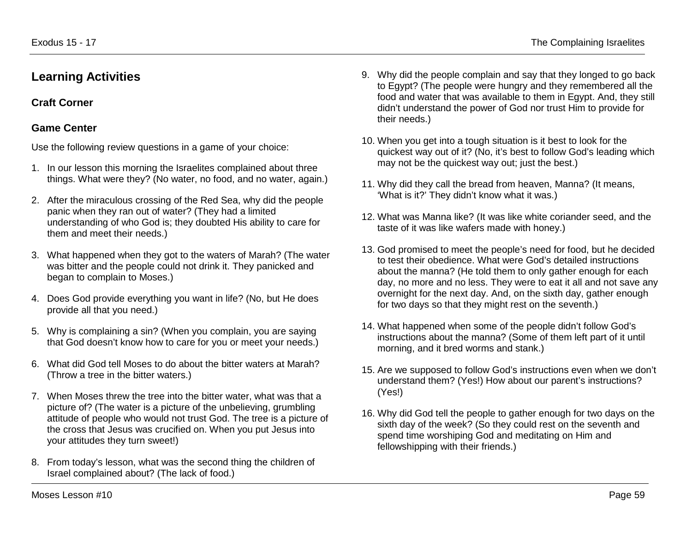## **Learning Activities**

## **Craft Corner**

## **Game Center**

Use the following review questions in a game of your choice:

- 1. In our lesson this morning the Israelites complained about three things. What were they? (No water, no food, and no water, again.)
- 2. After the miraculous crossing of the Red Sea, why did the people panic when they ran out of water? (They had a limited understanding of who God is; they doubted His ability to care for them and meet their needs.)
- 3. What happened when they got to the waters of Marah? (The water was bitter and the people could not drink it. They panicked and began to complain to Moses.)
- 4. Does God provide everything you want in life? (No, but He does provide all that you need.)
- 5. Why is complaining a sin? (When you complain, you are saying that God doesn't know how to care for you or meet your needs.)
- 6. What did God tell Moses to do about the bitter waters at Marah? (Throw a tree in the bitter waters.)
- 7. When Moses threw the tree into the bitter water, what was that a picture of? (The water is a picture of the unbelieving, grumbling attitude of people who would not trust God. The tree is a picture of the cross that Jesus was crucified on. When you put Jesus into your attitudes they turn sweet!)
- 8. From today's lesson, what was the second thing the children of Israel complained about? (The lack of food.)
- 9. Why did the people complain and say that they longed to go back to Egypt? (The people were hungry and they remembered all the food and water that was available to them in Egypt. And, they still didn't understand the power of God nor trust Him to provide for their needs.)
- 10. When you get into a tough situation is it best to look for the quickest way out of it? (No, it's best to follow God's leading which may not be the quickest way out; just the best.)
- 11. Why did they call the bread from heaven, Manna? (It means, 'What is it?' They didn't know what it was.)
- 12. What was Manna like? (It was like white coriander seed, and the taste of it was like wafers made with honey.)
- 13. God promised to meet the people's need for food, but he decided to test their obedience. What were God's detailed instructions about the manna? (He told them to only gather enough for each day, no more and no less. They were to eat it all and not save any overnight for the next day. And, on the sixth day, gather enough for two days so that they might rest on the seventh.)
- 14. What happened when some of the people didn't follow God's instructions about the manna? (Some of them left part of it until morning, and it bred worms and stank.)
- 15. Are we supposed to follow God's instructions even when we don't understand them? (Yes!) How about our parent's instructions? (Yes!)
- 16. Why did God tell the people to gather enough for two days on the sixth day of the week? (So they could rest on the seventh and spend time worshiping God and meditating on Him and fellowshipping with their friends.)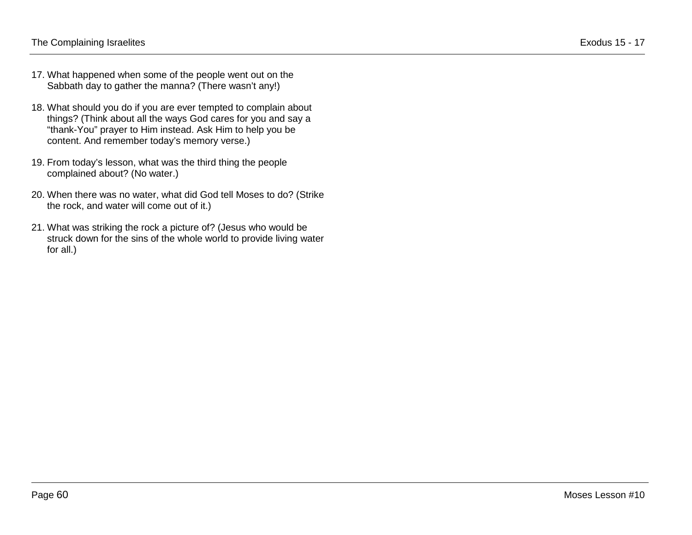- 17. What happened when some of the people went out on the Sabbath day to gather the manna? (There wasn't any!)
- 18. What should you do if you are ever tempted to complain about things? (Think about all the ways God cares for you and say a "thank-You" prayer to Him instead. Ask Him to help you be content. And remember today's memory verse.)
- 19. From today's lesson, what was the third thing the people complained about? (No water.)
- 20. When there was no water, what did God tell Moses to do? (Strike the rock, and water will come out of it.)
- 21. What was striking the rock a picture of? (Jesus who would be struck down for the sins of the whole world to provide living water for all.)